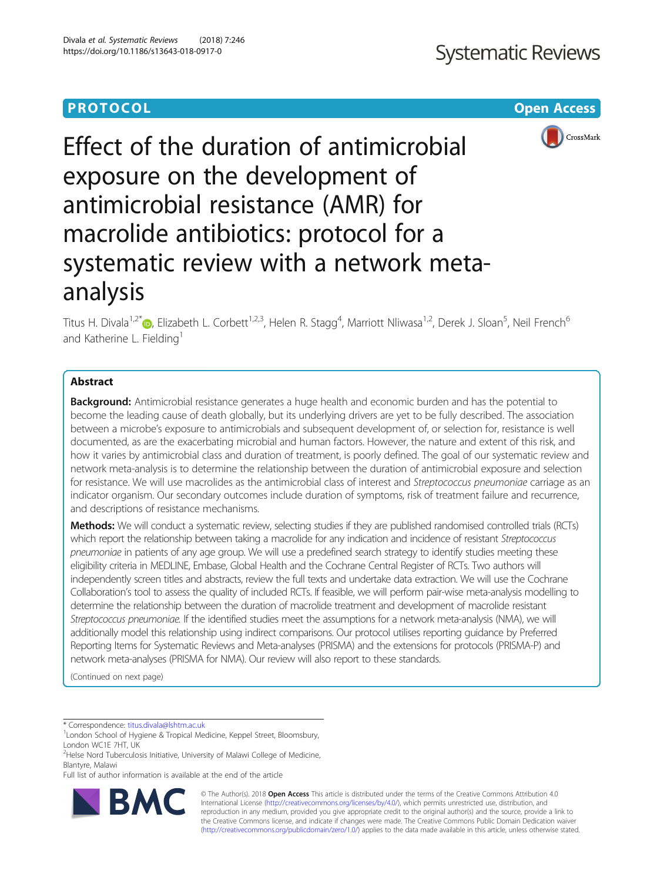# **PROTOCOL CONSUMING THE CONSUMING TEACHER CONSUMING THE CONSUMING TEACHER CONSUMING THE CONSUMING TEACHER CONSUMING**



Effect of the duration of antimicrobial exposure on the development of antimicrobial resistance (AMR) for macrolide antibiotics: protocol for a systematic review with a network metaanalysis

Titus H. Divala<sup>1,2\*</sup>®, Elizabeth L. Corbett<sup>1,2,3</sup>, Helen R. Stagg<sup>4</sup>, Marriott Nliwasa<sup>1,2</sup>, Derek J. Sloan<sup>5</sup>, Neil French<sup>6</sup> and Katherine L. Fielding<sup>1</sup>

## Abstract

**Background:** Antimicrobial resistance generates a huge health and economic burden and has the potential to become the leading cause of death globally, but its underlying drivers are yet to be fully described. The association between a microbe's exposure to antimicrobials and subsequent development of, or selection for, resistance is well documented, as are the exacerbating microbial and human factors. However, the nature and extent of this risk, and how it varies by antimicrobial class and duration of treatment, is poorly defined. The goal of our systematic review and network meta-analysis is to determine the relationship between the duration of antimicrobial exposure and selection for resistance. We will use macrolides as the antimicrobial class of interest and Streptococcus pneumoniae carriage as an indicator organism. Our secondary outcomes include duration of symptoms, risk of treatment failure and recurrence, and descriptions of resistance mechanisms.

Methods: We will conduct a systematic review, selecting studies if they are published randomised controlled trials (RCTs) which report the relationship between taking a macrolide for any indication and incidence of resistant Streptococcus pneumoniae in patients of any age group. We will use a predefined search strategy to identify studies meeting these eligibility criteria in MEDLINE, Embase, Global Health and the Cochrane Central Register of RCTs. Two authors will independently screen titles and abstracts, review the full texts and undertake data extraction. We will use the Cochrane Collaboration's tool to assess the quality of included RCTs. If feasible, we will perform pair-wise meta-analysis modelling to determine the relationship between the duration of macrolide treatment and development of macrolide resistant Streptococcus pneumoniae. If the identified studies meet the assumptions for a network meta-analysis (NMA), we will additionally model this relationship using indirect comparisons. Our protocol utilises reporting guidance by Preferred Reporting Items for Systematic Reviews and Meta-analyses (PRISMA) and the extensions for protocols (PRISMA-P) and network meta-analyses (PRISMA for NMA). Our review will also report to these standards.

(Continued on next page)

\* Correspondence: [titus.divala@lshtm.ac.uk](mailto:titus.divala@lshtm.ac.uk) <sup>1</sup>

Full list of author information is available at the end of the article



© The Author(s). 2018 Open Access This article is distributed under the terms of the Creative Commons Attribution 4.0 International License [\(http://creativecommons.org/licenses/by/4.0/](http://creativecommons.org/licenses/by/4.0/)), which permits unrestricted use, distribution, and reproduction in any medium, provided you give appropriate credit to the original author(s) and the source, provide a link to the Creative Commons license, and indicate if changes were made. The Creative Commons Public Domain Dedication waiver [\(http://creativecommons.org/publicdomain/zero/1.0/](http://creativecommons.org/publicdomain/zero/1.0/)) applies to the data made available in this article, unless otherwise stated.

<sup>&</sup>lt;sup>1</sup> London School of Hygiene & Tropical Medicine, Keppel Street, Bloomsbury, London WC1E 7HT, UK

<sup>&</sup>lt;sup>2</sup>Helse Nord Tuberculosis Initiative, University of Malawi College of Medicine, Blantyre, Malawi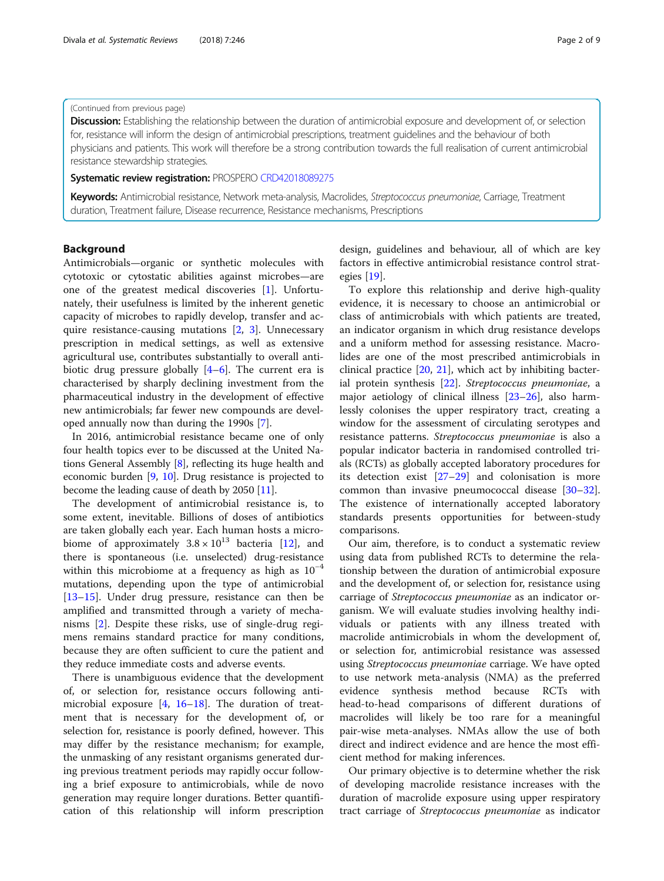## (Continued from previous page)

Discussion: Establishing the relationship between the duration of antimicrobial exposure and development of, or selection for, resistance will inform the design of antimicrobial prescriptions, treatment guidelines and the behaviour of both physicians and patients. This work will therefore be a strong contribution towards the full realisation of current antimicrobial resistance stewardship strategies.

## Systematic review registration: PROSPERO [CRD42018089275](https://www.crd.york.ac.uk/prospero/display_record.php?RecordID=89275)

Keywords: Antimicrobial resistance, Network meta-analysis, Macrolides, Streptococcus pneumoniae, Carriage, Treatment duration, Treatment failure, Disease recurrence, Resistance mechanisms, Prescriptions

## Background

Antimicrobials—organic or synthetic molecules with cytotoxic or cytostatic abilities against microbes—are one of the greatest medical discoveries [\[1](#page-7-0)]. Unfortunately, their usefulness is limited by the inherent genetic capacity of microbes to rapidly develop, transfer and acquire resistance-causing mutations [[2,](#page-7-0) [3\]](#page-7-0). Unnecessary prescription in medical settings, as well as extensive agricultural use, contributes substantially to overall antibiotic drug pressure globally [[4](#page-7-0)–[6\]](#page-7-0). The current era is characterised by sharply declining investment from the pharmaceutical industry in the development of effective new antimicrobials; far fewer new compounds are developed annually now than during the 1990s [[7\]](#page-7-0).

In 2016, antimicrobial resistance became one of only four health topics ever to be discussed at the United Nations General Assembly [\[8\]](#page-7-0), reflecting its huge health and economic burden [[9,](#page-7-0) [10](#page-7-0)]. Drug resistance is projected to become the leading cause of death by 2050 [[11](#page-7-0)].

The development of antimicrobial resistance is, to some extent, inevitable. Billions of doses of antibiotics are taken globally each year. Each human hosts a microbiome of approximately  $3.8 \times 10^{13}$  bacteria [\[12\]](#page-7-0), and there is spontaneous (i.e. unselected) drug-resistance within this microbiome at a frequency as high as 10<sup>-4</sup> mutations, depending upon the type of antimicrobial [[13](#page-7-0)–[15](#page-7-0)]. Under drug pressure, resistance can then be amplified and transmitted through a variety of mechanisms [\[2](#page-7-0)]. Despite these risks, use of single-drug regimens remains standard practice for many conditions, because they are often sufficient to cure the patient and they reduce immediate costs and adverse events.

There is unambiguous evidence that the development of, or selection for, resistance occurs following antimicrobial exposure [\[4](#page-7-0), [16](#page-7-0)–[18](#page-7-0)]. The duration of treatment that is necessary for the development of, or selection for, resistance is poorly defined, however. This may differ by the resistance mechanism; for example, the unmasking of any resistant organisms generated during previous treatment periods may rapidly occur following a brief exposure to antimicrobials, while de novo generation may require longer durations. Better quantification of this relationship will inform prescription design, guidelines and behaviour, all of which are key factors in effective antimicrobial resistance control strategies [[19](#page-7-0)].

To explore this relationship and derive high-quality evidence, it is necessary to choose an antimicrobial or class of antimicrobials with which patients are treated, an indicator organism in which drug resistance develops and a uniform method for assessing resistance. Macrolides are one of the most prescribed antimicrobials in clinical practice [\[20,](#page-7-0) [21\]](#page-7-0), which act by inhibiting bacter-ial protein synthesis [\[22](#page-7-0)]. Streptococcus pneumoniae, a major aetiology of clinical illness [\[23](#page-7-0)–[26\]](#page-7-0), also harmlessly colonises the upper respiratory tract, creating a window for the assessment of circulating serotypes and resistance patterns. Streptococcus pneumoniae is also a popular indicator bacteria in randomised controlled trials (RCTs) as globally accepted laboratory procedures for its detection exist [[27](#page-7-0)–[29](#page-7-0)] and colonisation is more common than invasive pneumococcal disease [[30](#page-7-0)–[32](#page-7-0)]. The existence of internationally accepted laboratory standards presents opportunities for between-study comparisons.

Our aim, therefore, is to conduct a systematic review using data from published RCTs to determine the relationship between the duration of antimicrobial exposure and the development of, or selection for, resistance using carriage of Streptococcus pneumoniae as an indicator organism. We will evaluate studies involving healthy individuals or patients with any illness treated with macrolide antimicrobials in whom the development of, or selection for, antimicrobial resistance was assessed using Streptococcus pneumoniae carriage. We have opted to use network meta-analysis (NMA) as the preferred evidence synthesis method because RCTs with head-to-head comparisons of different durations of macrolides will likely be too rare for a meaningful pair-wise meta-analyses. NMAs allow the use of both direct and indirect evidence and are hence the most efficient method for making inferences.

Our primary objective is to determine whether the risk of developing macrolide resistance increases with the duration of macrolide exposure using upper respiratory tract carriage of Streptococcus pneumoniae as indicator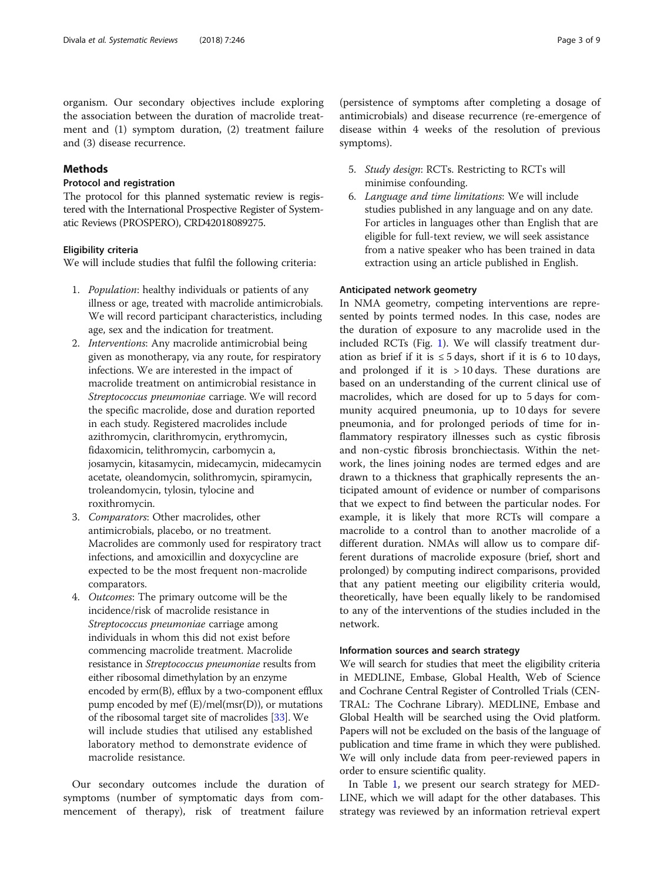organism. Our secondary objectives include exploring the association between the duration of macrolide treatment and (1) symptom duration, (2) treatment failure and (3) disease recurrence.

## Methods

## Protocol and registration

The protocol for this planned systematic review is registered with the International Prospective Register of Systematic Reviews (PROSPERO), CRD42018089275.

## Eligibility criteria

We will include studies that fulfil the following criteria:

- 1. Population: healthy individuals or patients of any illness or age, treated with macrolide antimicrobials. We will record participant characteristics, including age, sex and the indication for treatment.
- 2. Interventions: Any macrolide antimicrobial being given as monotherapy, via any route, for respiratory infections. We are interested in the impact of macrolide treatment on antimicrobial resistance in Streptococcus pneumoniae carriage. We will record the specific macrolide, dose and duration reported in each study. Registered macrolides include azithromycin, clarithromycin, erythromycin, fidaxomicin, telithromycin, carbomycin a, josamycin, kitasamycin, midecamycin, midecamycin acetate, oleandomycin, solithromycin, spiramycin, troleandomycin, tylosin, tylocine and roxithromycin.
- 3. Comparators: Other macrolides, other antimicrobials, placebo, or no treatment. Macrolides are commonly used for respiratory tract infections, and amoxicillin and doxycycline are expected to be the most frequent non-macrolide comparators.
- 4. Outcomes: The primary outcome will be the incidence/risk of macrolide resistance in Streptococcus pneumoniae carriage among individuals in whom this did not exist before commencing macrolide treatment. Macrolide resistance in Streptococcus pneumoniae results from either ribosomal dimethylation by an enzyme encoded by erm(B), efflux by a two-component efflux pump encoded by mef (E)/mel(msr(D)), or mutations of the ribosomal target site of macrolides [\[33](#page-7-0)]. We will include studies that utilised any established laboratory method to demonstrate evidence of macrolide resistance.

Our secondary outcomes include the duration of symptoms (number of symptomatic days from commencement of therapy), risk of treatment failure

(persistence of symptoms after completing a dosage of antimicrobials) and disease recurrence (re-emergence of disease within 4 weeks of the resolution of previous symptoms).

- 5. Study design: RCTs. Restricting to RCTs will minimise confounding.
- 6. Language and time limitations: We will include studies published in any language and on any date. For articles in languages other than English that are eligible for full-text review, we will seek assistance from a native speaker who has been trained in data extraction using an article published in English.

## Anticipated network geometry

In NMA geometry, competing interventions are represented by points termed nodes. In this case, nodes are the duration of exposure to any macrolide used in the included RCTs (Fig. [1](#page-3-0)). We will classify treatment duration as brief if it is  $\leq$  5 days, short if it is 6 to 10 days, and prolonged if it is  $> 10$  days. These durations are based on an understanding of the current clinical use of macrolides, which are dosed for up to 5 days for community acquired pneumonia, up to 10 days for severe pneumonia, and for prolonged periods of time for inflammatory respiratory illnesses such as cystic fibrosis and non-cystic fibrosis bronchiectasis. Within the network, the lines joining nodes are termed edges and are drawn to a thickness that graphically represents the anticipated amount of evidence or number of comparisons that we expect to find between the particular nodes. For example, it is likely that more RCTs will compare a macrolide to a control than to another macrolide of a different duration. NMAs will allow us to compare different durations of macrolide exposure (brief, short and prolonged) by computing indirect comparisons, provided that any patient meeting our eligibility criteria would, theoretically, have been equally likely to be randomised to any of the interventions of the studies included in the network.

## Information sources and search strategy

We will search for studies that meet the eligibility criteria in MEDLINE, Embase, Global Health, Web of Science and Cochrane Central Register of Controlled Trials (CEN-TRAL: The Cochrane Library). MEDLINE, Embase and Global Health will be searched using the Ovid platform. Papers will not be excluded on the basis of the language of publication and time frame in which they were published. We will only include data from peer-reviewed papers in order to ensure scientific quality.

In Table [1,](#page-3-0) we present our search strategy for MED-LINE, which we will adapt for the other databases. This strategy was reviewed by an information retrieval expert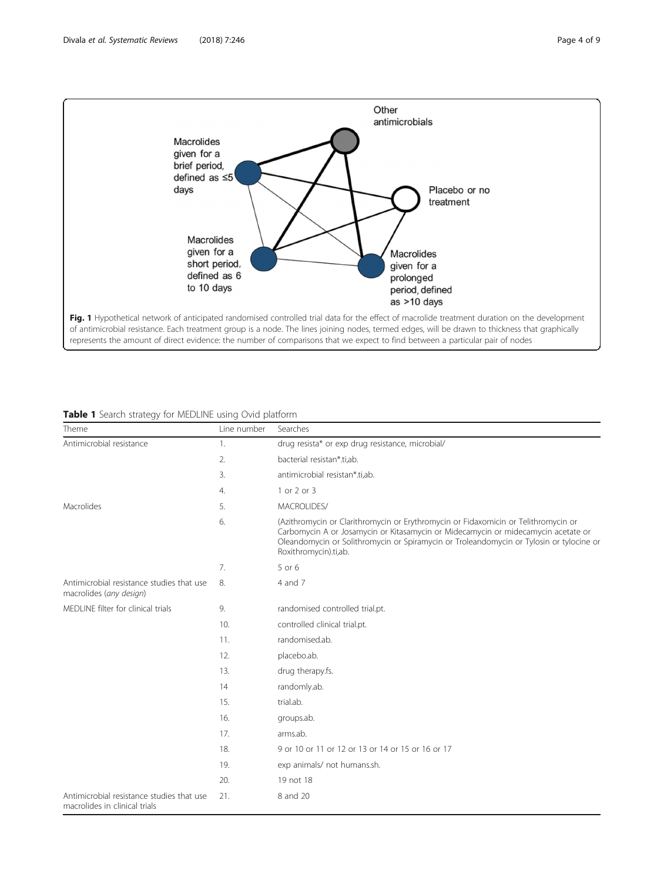<span id="page-3-0"></span>

represents the amount of direct evidence: the number of comparisons that we expect to find between a particular pair of nodes

|  |  | Table 1 Search strategy for MEDLINE using Ovid platform |  |  |  |
|--|--|---------------------------------------------------------|--|--|--|
|--|--|---------------------------------------------------------|--|--|--|

| Theme                                                                      | Line number | Searches                                                                                                                                                                                                                                                                                    |
|----------------------------------------------------------------------------|-------------|---------------------------------------------------------------------------------------------------------------------------------------------------------------------------------------------------------------------------------------------------------------------------------------------|
| Antimicrobial resistance                                                   | 1.          | drug resista* or exp drug resistance, microbial/                                                                                                                                                                                                                                            |
|                                                                            | 2.          | bacterial resistan*.ti,ab.                                                                                                                                                                                                                                                                  |
|                                                                            | 3.          | antimicrobial resistan*.ti,ab.                                                                                                                                                                                                                                                              |
|                                                                            | 4.          | 1 or 2 or 3                                                                                                                                                                                                                                                                                 |
| Macrolides                                                                 | 5.          | <b>MACROLIDES/</b>                                                                                                                                                                                                                                                                          |
|                                                                            | 6.          | (Azithromycin or Clarithromycin or Erythromycin or Fidaxomicin or Telithromycin or<br>Carbomycin A or Josamycin or Kitasamycin or Midecamycin or midecamycin acetate or<br>Oleandomycin or Solithromycin or Spiramycin or Troleandomycin or Tylosin or tylocine or<br>Roxithromycin).ti,ab. |
|                                                                            | 7.          | 5 or 6                                                                                                                                                                                                                                                                                      |
| Antimicrobial resistance studies that use<br>macrolides (any design)       | 8.          | 4 and 7                                                                                                                                                                                                                                                                                     |
| MFDI INF filter for clinical trials                                        | 9.          | randomised controlled trial.pt.                                                                                                                                                                                                                                                             |
|                                                                            | 10.         | controlled clinical trial.pt.                                                                                                                                                                                                                                                               |
|                                                                            | 11.         | randomised.ab.                                                                                                                                                                                                                                                                              |
|                                                                            | 12.         | placebo.ab.                                                                                                                                                                                                                                                                                 |
|                                                                            | 13.         | drug therapy.fs.                                                                                                                                                                                                                                                                            |
|                                                                            | 14          | randomly.ab.                                                                                                                                                                                                                                                                                |
|                                                                            | 15.         | trial.ab.                                                                                                                                                                                                                                                                                   |
|                                                                            | 16.         | groups.ab.                                                                                                                                                                                                                                                                                  |
|                                                                            | 17.         | arms.ab.                                                                                                                                                                                                                                                                                    |
|                                                                            | 18.         | 9 or 10 or 11 or 12 or 13 or 14 or 15 or 16 or 17                                                                                                                                                                                                                                           |
|                                                                            | 19.         | exp animals/ not humans.sh.                                                                                                                                                                                                                                                                 |
|                                                                            | 20.         | 19 not 18                                                                                                                                                                                                                                                                                   |
| Antimicrobial resistance studies that use<br>macrolides in clinical trials | 21.         | 8 and 20                                                                                                                                                                                                                                                                                    |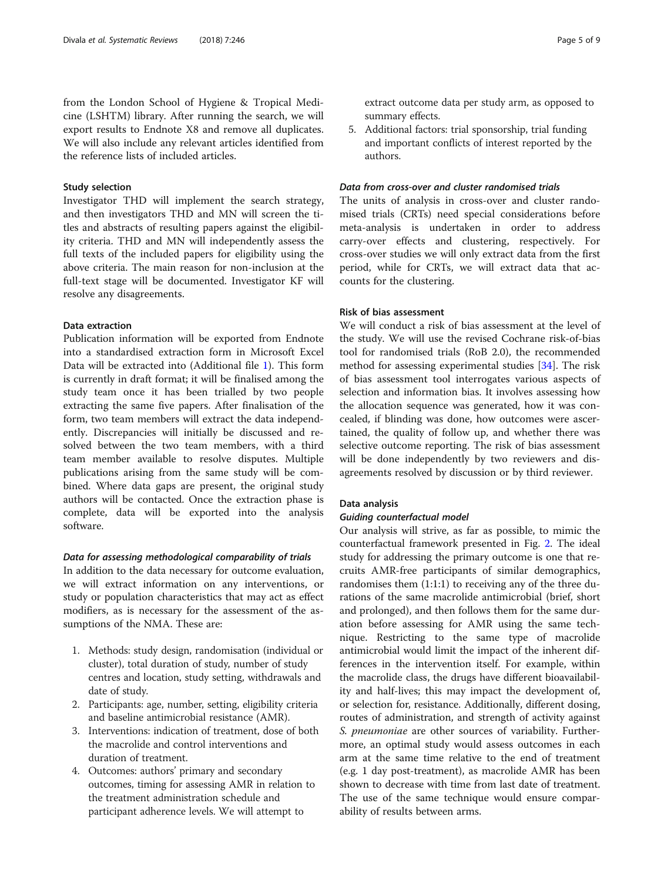<span id="page-4-0"></span>from the London School of Hygiene & Tropical Medicine (LSHTM) library. After running the search, we will export results to Endnote X8 and remove all duplicates. We will also include any relevant articles identified from the reference lists of included articles.

## Study selection

Investigator THD will implement the search strategy, and then investigators THD and MN will screen the titles and abstracts of resulting papers against the eligibility criteria. THD and MN will independently assess the full texts of the included papers for eligibility using the above criteria. The main reason for non-inclusion at the full-text stage will be documented. Investigator KF will resolve any disagreements.

#### Data extraction

Publication information will be exported from Endnote into a standardised extraction form in Microsoft Excel Data will be extracted into (Additional file [1\)](#page-6-0). This form is currently in draft format; it will be finalised among the study team once it has been trialled by two people extracting the same five papers. After finalisation of the form, two team members will extract the data independently. Discrepancies will initially be discussed and resolved between the two team members, with a third team member available to resolve disputes. Multiple publications arising from the same study will be combined. Where data gaps are present, the original study authors will be contacted. Once the extraction phase is complete, data will be exported into the analysis software.

#### Data for assessing methodological comparability of trials

In addition to the data necessary for outcome evaluation, we will extract information on any interventions, or study or population characteristics that may act as effect modifiers, as is necessary for the assessment of the assumptions of the NMA. These are:

- 1. Methods: study design, randomisation (individual or cluster), total duration of study, number of study centres and location, study setting, withdrawals and date of study.
- 2. Participants: age, number, setting, eligibility criteria and baseline antimicrobial resistance (AMR).
- 3. Interventions: indication of treatment, dose of both the macrolide and control interventions and duration of treatment.
- 4. Outcomes: authors' primary and secondary outcomes, timing for assessing AMR in relation to the treatment administration schedule and participant adherence levels. We will attempt to

extract outcome data per study arm, as opposed to summary effects.

5. Additional factors: trial sponsorship, trial funding and important conflicts of interest reported by the authors.

## Data from cross-over and cluster randomised trials

The units of analysis in cross-over and cluster randomised trials (CRTs) need special considerations before meta-analysis is undertaken in order to address carry-over effects and clustering, respectively. For cross-over studies we will only extract data from the first period, while for CRTs, we will extract data that accounts for the clustering.

## Risk of bias assessment

We will conduct a risk of bias assessment at the level of the study. We will use the revised Cochrane risk-of-bias tool for randomised trials (RoB 2.0), the recommended method for assessing experimental studies [[34](#page-7-0)]. The risk of bias assessment tool interrogates various aspects of selection and information bias. It involves assessing how the allocation sequence was generated, how it was concealed, if blinding was done, how outcomes were ascertained, the quality of follow up, and whether there was selective outcome reporting. The risk of bias assessment will be done independently by two reviewers and disagreements resolved by discussion or by third reviewer.

## Data analysis

## Guiding counterfactual model

Our analysis will strive, as far as possible, to mimic the counterfactual framework presented in Fig. [2.](#page-5-0) The ideal study for addressing the primary outcome is one that recruits AMR-free participants of similar demographics, randomises them (1:1:1) to receiving any of the three durations of the same macrolide antimicrobial (brief, short and prolonged), and then follows them for the same duration before assessing for AMR using the same technique. Restricting to the same type of macrolide antimicrobial would limit the impact of the inherent differences in the intervention itself. For example, within the macrolide class, the drugs have different bioavailability and half-lives; this may impact the development of, or selection for, resistance. Additionally, different dosing, routes of administration, and strength of activity against S. pneumoniae are other sources of variability. Furthermore, an optimal study would assess outcomes in each arm at the same time relative to the end of treatment (e.g. 1 day post-treatment), as macrolide AMR has been shown to decrease with time from last date of treatment. The use of the same technique would ensure comparability of results between arms.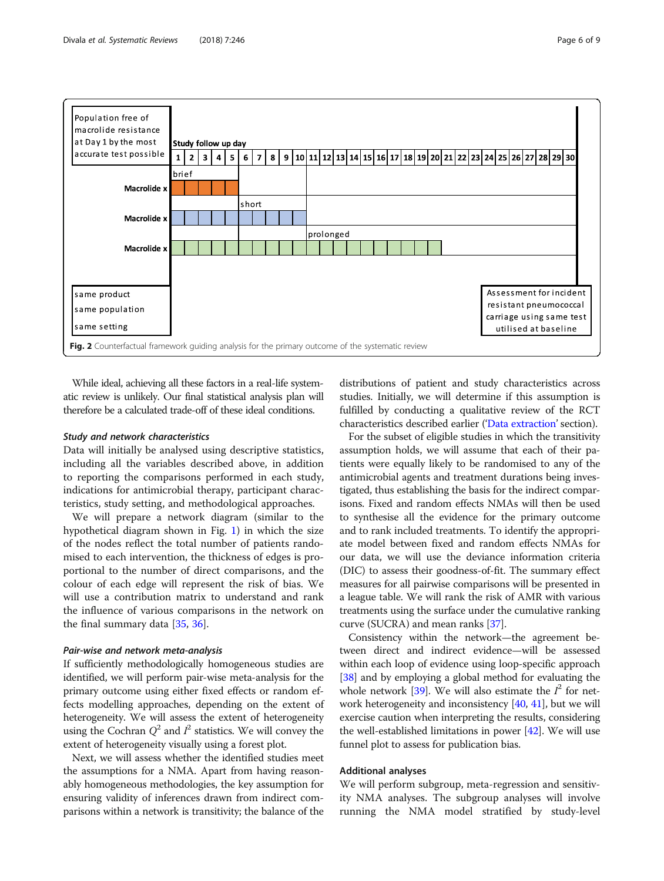

<span id="page-5-0"></span>

While ideal, achieving all these factors in a real-life systematic review is unlikely. Our final statistical analysis plan will therefore be a calculated trade-off of these ideal conditions.

## Study and network characteristics

Data will initially be analysed using descriptive statistics, including all the variables described above, in addition to reporting the comparisons performed in each study, indications for antimicrobial therapy, participant characteristics, study setting, and methodological approaches.

We will prepare a network diagram (similar to the hypothetical diagram shown in Fig. [1](#page-3-0)) in which the size of the nodes reflect the total number of patients randomised to each intervention, the thickness of edges is proportional to the number of direct comparisons, and the colour of each edge will represent the risk of bias. We will use a contribution matrix to understand and rank the influence of various comparisons in the network on the final summary data [\[35](#page-7-0), [36](#page-7-0)].

## Pair-wise and network meta-analysis

If sufficiently methodologically homogeneous studies are identified, we will perform pair-wise meta-analysis for the primary outcome using either fixed effects or random effects modelling approaches, depending on the extent of heterogeneity. We will assess the extent of heterogeneity using the Cochran  $Q^2$  and  $I^2$  statistics. We will convey the extent of heterogeneity visually using a forest plot.

Next, we will assess whether the identified studies meet the assumptions for a NMA. Apart from having reasonably homogeneous methodologies, the key assumption for ensuring validity of inferences drawn from indirect comparisons within a network is transitivity; the balance of the distributions of patient and study characteristics across studies. Initially, we will determine if this assumption is fulfilled by conducting a qualitative review of the RCT characteristics described earlier ('[Data extraction](#page-4-0)' section).

For the subset of eligible studies in which the transitivity assumption holds, we will assume that each of their patients were equally likely to be randomised to any of the antimicrobial agents and treatment durations being investigated, thus establishing the basis for the indirect comparisons. Fixed and random effects NMAs will then be used to synthesise all the evidence for the primary outcome and to rank included treatments. To identify the appropriate model between fixed and random effects NMAs for our data, we will use the deviance information criteria (DIC) to assess their goodness-of-fit. The summary effect measures for all pairwise comparisons will be presented in a league table. We will rank the risk of AMR with various treatments using the surface under the cumulative ranking curve (SUCRA) and mean ranks [[37](#page-7-0)].

Consistency within the network—the agreement between direct and indirect evidence—will be assessed within each loop of evidence using loop-specific approach [[38](#page-7-0)] and by employing a global method for evaluating the whole network [[39](#page-7-0)]. We will also estimate the  $I^2$  for network heterogeneity and inconsistency [[40,](#page-7-0) [41](#page-8-0)], but we will exercise caution when interpreting the results, considering the well-established limitations in power  $[42]$  $[42]$ . We will use funnel plot to assess for publication bias.

## Additional analyses

We will perform subgroup, meta-regression and sensitivity NMA analyses. The subgroup analyses will involve running the NMA model stratified by study-level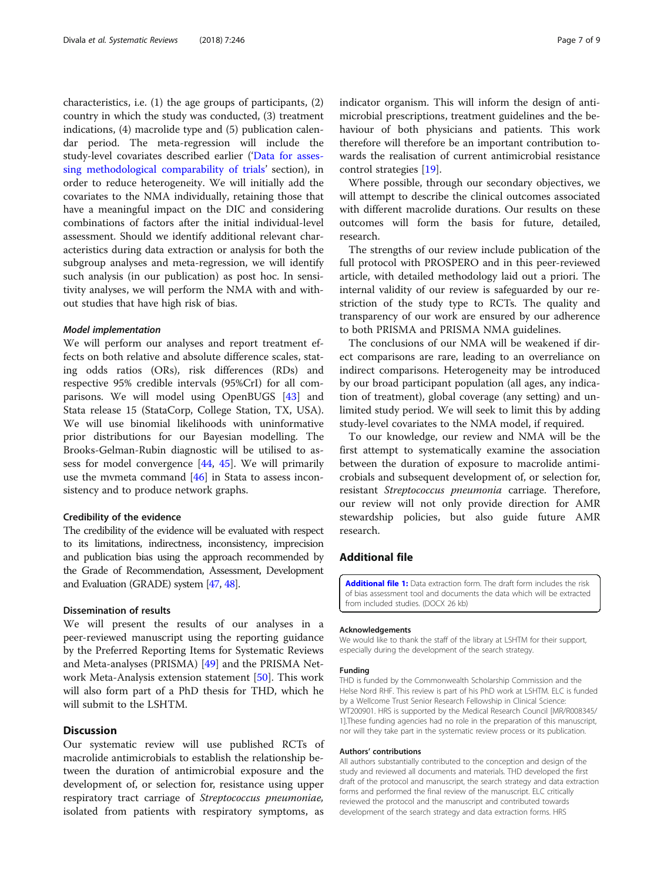<span id="page-6-0"></span>characteristics, i.e. (1) the age groups of participants, (2) country in which the study was conducted, (3) treatment indications, (4) macrolide type and (5) publication calendar period. The meta-regression will include the study-level covariates described earlier ('[Data for asses](#page-4-0)[sing methodological comparability of trials](#page-4-0)' section), in order to reduce heterogeneity. We will initially add the covariates to the NMA individually, retaining those that have a meaningful impact on the DIC and considering combinations of factors after the initial individual-level assessment. Should we identify additional relevant characteristics during data extraction or analysis for both the subgroup analyses and meta-regression, we will identify such analysis (in our publication) as post hoc. In sensitivity analyses, we will perform the NMA with and without studies that have high risk of bias.

#### Model implementation

We will perform our analyses and report treatment effects on both relative and absolute difference scales, stating odds ratios (ORs), risk differences (RDs) and respective 95% credible intervals (95%CrI) for all comparisons. We will model using OpenBUGS [\[43](#page-8-0)] and Stata release 15 (StataCorp, College Station, TX, USA). We will use binomial likelihoods with uninformative prior distributions for our Bayesian modelling. The Brooks-Gelman-Rubin diagnostic will be utilised to assess for model convergence [\[44](#page-8-0), [45](#page-8-0)]. We will primarily use the mymeta command  $[46]$  $[46]$  $[46]$  in Stata to assess inconsistency and to produce network graphs.

## Credibility of the evidence

The credibility of the evidence will be evaluated with respect to its limitations, indirectness, inconsistency, imprecision and publication bias using the approach recommended by the Grade of Recommendation, Assessment, Development and Evaluation (GRADE) system [[47,](#page-8-0) [48\]](#page-8-0).

### Dissemination of results

We will present the results of our analyses in a peer-reviewed manuscript using the reporting guidance by the Preferred Reporting Items for Systematic Reviews and Meta-analyses (PRISMA) [[49](#page-8-0)] and the PRISMA Network Meta-Analysis extension statement [[50](#page-8-0)]. This work will also form part of a PhD thesis for THD, which he will submit to the LSHTM.

## **Discussion**

Our systematic review will use published RCTs of macrolide antimicrobials to establish the relationship between the duration of antimicrobial exposure and the development of, or selection for, resistance using upper respiratory tract carriage of Streptococcus pneumoniae, isolated from patients with respiratory symptoms, as indicator organism. This will inform the design of antimicrobial prescriptions, treatment guidelines and the behaviour of both physicians and patients. This work therefore will therefore be an important contribution towards the realisation of current antimicrobial resistance control strategies [\[19](#page-7-0)].

Where possible, through our secondary objectives, we will attempt to describe the clinical outcomes associated with different macrolide durations. Our results on these outcomes will form the basis for future, detailed, research.

The strengths of our review include publication of the full protocol with PROSPERO and in this peer-reviewed article, with detailed methodology laid out a priori. The internal validity of our review is safeguarded by our restriction of the study type to RCTs. The quality and transparency of our work are ensured by our adherence to both PRISMA and PRISMA NMA guidelines.

The conclusions of our NMA will be weakened if direct comparisons are rare, leading to an overreliance on indirect comparisons. Heterogeneity may be introduced by our broad participant population (all ages, any indication of treatment), global coverage (any setting) and unlimited study period. We will seek to limit this by adding study-level covariates to the NMA model, if required.

To our knowledge, our review and NMA will be the first attempt to systematically examine the association between the duration of exposure to macrolide antimicrobials and subsequent development of, or selection for, resistant Streptococcus pneumonia carriage. Therefore, our review will not only provide direction for AMR stewardship policies, but also guide future AMR research.

## Additional file

[Additional file 1:](https://doi.org/10.1186/s13643-018-0917-0) Data extraction form. The draft form includes the risk of bias assessment tool and documents the data which will be extracted from included studies. (DOCX 26 kb)

#### Acknowledgements

We would like to thank the staff of the library at LSHTM for their support, especially during the development of the search strategy.

## Funding

THD is funded by the Commonwealth Scholarship Commission and the Helse Nord RHF. This review is part of his PhD work at LSHTM. ELC is funded by a Wellcome Trust Senior Research Fellowship in Clinical Science: WT200901. HRS is supported by the Medical Research Council [MR/R008345/ 1].These funding agencies had no role in the preparation of this manuscript, nor will they take part in the systematic review process or its publication.

#### Authors' contributions

All authors substantially contributed to the conception and design of the study and reviewed all documents and materials. THD developed the first draft of the protocol and manuscript, the search strategy and data extraction forms and performed the final review of the manuscript. ELC critically reviewed the protocol and the manuscript and contributed towards development of the search strategy and data extraction forms. HRS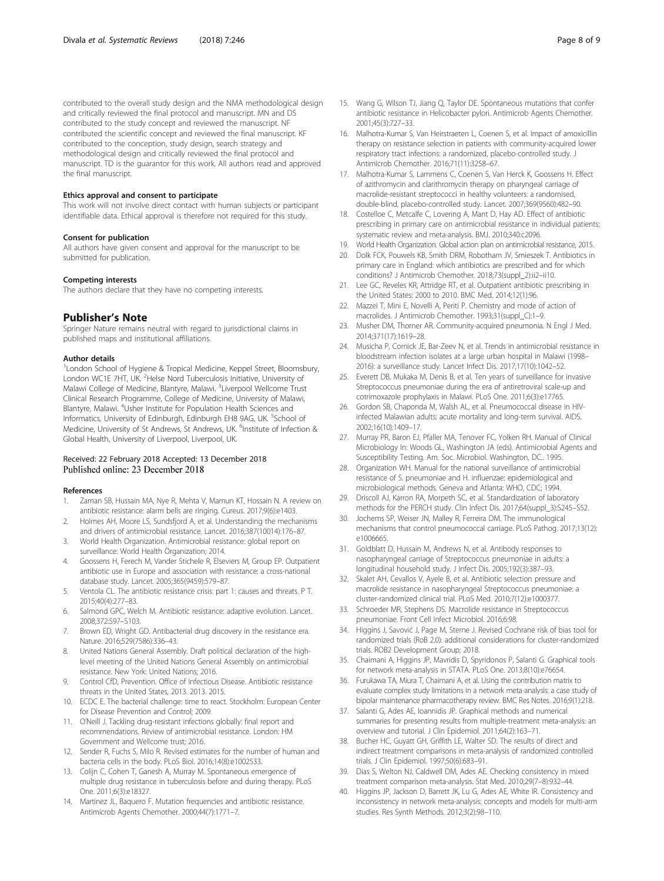<span id="page-7-0"></span>contributed to the overall study design and the NMA methodological design and critically reviewed the final protocol and manuscript. MN and DS contributed to the study concept and reviewed the manuscript. NF contributed the scientific concept and reviewed the final manuscript. KF contributed to the conception, study design, search strategy and methodological design and critically reviewed the final protocol and manuscript. TD is the guarantor for this work. All authors read and approved the final manuscript.

#### Ethics approval and consent to participate

This work will not involve direct contact with human subjects or participant identifiable data. Ethical approval is therefore not required for this study.

#### Consent for publication

All authors have given consent and approval for the manuscript to be submitted for publication.

#### Competing interests

The authors declare that they have no competing interests.

### Publisher's Note

Springer Nature remains neutral with regard to jurisdictional claims in published maps and institutional affiliations.

#### Author details

<sup>1</sup> London School of Hygiene & Tropical Medicine, Keppel Street, Bloomsbury, London WC1E 7HT, UK. <sup>2</sup>Helse Nord Tuberculosis Initiative, University of Malawi College of Medicine, Blantyre, Malawi. <sup>3</sup>Liverpool Wellcome Trust Clinical Research Programme, College of Medicine, University of Malawi, Blantyre, Malawi. <sup>4</sup>Usher Institute for Population Health Sciences and Informatics, University of Edinburgh, Edinburgh EH8 9AG, UK. <sup>5</sup>School of Medicine, University of St Andrews, St Andrews, UK. <sup>6</sup>Institute of Infection & Global Health, University of Liverpool, Liverpool, UK.

## Received: 22 February 2018 Accepted: 13 December 2018 Published online: 23 December 2018

#### References

- 1. Zaman SB, Hussain MA, Nye R, Mehta V, Mamun KT, Hossain N. A review on antibiotic resistance: alarm bells are ringing. Cureus. 2017;9(6):e1403.
- 2. Holmes AH, Moore LS, Sundsfiord A, et al. Understanding the mechanisms and drivers of antimicrobial resistance. Lancet. 2016;387(10014):176–87.
- 3. World Health Organization. Antimicrobial resistance: global report on surveillance: World Health Organization; 2014.
- 4. Goossens H, Ferech M, Vander Stichele R, Elseviers M, Group EP. Outpatient antibiotic use in Europe and association with resistance: a cross-national database study. Lancet. 2005;365(9459):579–87.
- 5. Ventola CL. The antibiotic resistance crisis: part 1: causes and threats. P T. 2015;40(4):277–83.
- 6. Salmond GPC, Welch M. Antibiotic resistance: adaptive evolution. Lancet. 2008;372:S97–S103.
- 7. Brown ED, Wright GD. Antibacterial drug discovery in the resistance era. Nature. 2016;529(7586):336–43.
- 8. United Nations General Assembly. Draft political declaration of the highlevel meeting of the United Nations General Assembly on antimicrobial resistance. New York: United Nations; 2016.
- 9. Control CfD, Prevention. Office of Infectious Disease. Antibiotic resistance threats in the United States, 2013. 2013. 2015.
- 10. ECDC E. The bacterial challenge: time to react. Stockholm: European Center for Disease Prevention and Control; 2009.
- 11. O'Neill J. Tackling drug-resistant infections globally: final report and recommendations. Review of antimicrobial resistance. London: HM Government and Wellcome trust; 2016.
- 12. Sender R, Fuchs S, Milo R. Revised estimates for the number of human and bacteria cells in the body. PLoS Biol. 2016;14(8):e1002533.
- 13. Colijn C, Cohen T, Ganesh A, Murray M. Spontaneous emergence of multiple drug resistance in tuberculosis before and during therapy. PLoS One. 2011;6(3):e18327.
- 14. Martinez JL, Baquero F. Mutation frequencies and antibiotic resistance. Antimicrob Agents Chemother. 2000;44(7):1771–7.
- 15. Wang G, Wilson TJ, Jiang Q, Taylor DE. Spontaneous mutations that confer antibiotic resistance in Helicobacter pylori. Antimicrob Agents Chemother. 2001;45(3):727–33.
- 16. Malhotra-Kumar S, Van Heirstraeten L, Coenen S, et al. Impact of amoxicillin therapy on resistance selection in patients with community-acquired lower respiratory tract infections: a randomized, placebo-controlled study. J Antimicrob Chemother. 2016;71(11):3258–67.
- 17. Malhotra-Kumar S, Lammens C, Coenen S, Van Herck K, Goossens H. Effect of azithromycin and clarithromycin therapy on pharyngeal carriage of macrolide-resistant streptococci in healthy volunteers: a randomised, double-blind, placebo-controlled study. Lancet. 2007;369(9560):482–90.
- 18. Costelloe C, Metcalfe C, Lovering A, Mant D, Hay AD. Effect of antibiotic prescribing in primary care on antimicrobial resistance in individual patients: systematic review and meta-analysis. BMJ. 2010;340:c2096.
- 19. World Health Organization. Global action plan on antimicrobial resistance, 2015.
- 20. Dolk FCK, Pouwels KB, Smith DRM, Robotham JV, Smieszek T. Antibiotics in primary care in England: which antibiotics are prescribed and for which conditions? J Antimicrob Chemother. 2018;73(suppl\_2):ii2–ii10.
- 21. Lee GC, Reveles KR, Attridge RT, et al. Outpatient antibiotic prescribing in the United States: 2000 to 2010. BMC Med. 2014;12(1):96.
- 22. Mazzei T, Mini E, Novelli A, Periti P. Chemistry and mode of action of macrolides. J Antimicrob Chemother. 1993;31(suppl\_C):1–9.
- 23. Musher DM, Thorner AR. Community-acquired pneumonia. N Engl J Med. 2014;371(17):1619–28.
- 24. Musicha P, Cornick JE, Bar-Zeev N, et al. Trends in antimicrobial resistance in bloodstream infection isolates at a large urban hospital in Malawi (1998– 2016): a surveillance study. Lancet Infect Dis. 2017;17(10):1042–52.
- 25. Everett DB, Mukaka M, Denis B, et al. Ten years of surveillance for invasive Streptococcus pneumoniae during the era of antiretroviral scale-up and cotrimoxazole prophylaxis in Malawi. PLoS One. 2011;6(3):e17765.
- 26. Gordon SB, Chaponda M, Walsh AL, et al. Pneumococcal disease in HIVinfected Malawian adults: acute mortality and long-term survival. AIDS. 2002;16(10):1409–17.
- 27. Murray PR, Baron EJ, Pfaller MA, Tenover FC, Yolken RH. Manual of Clinical Microbiology In: Woods GL, Washington JA (eds). Antimicrobial Agents and Susceptibility Testing. Am. Soc. Microbiol. Washington, DC.. 1995.
- 28. Organization WH. Manual for the national surveillance of antimicrobial resistance of S. pneumoniae and H. influenzae: epidemiological and microbiological methods. Geneva and Atlanta: WHO, CDC; 1994.
- 29. Driscoll AJ, Karron RA, Morpeth SC, et al. Standardization of laboratory methods for the PERCH study. Clin Infect Dis. 2017;64(suppl\_3):S245–S52.
- 30. Jochems SP, Weiser JN, Malley R, Ferreira DM. The immunological mechanisms that control pneumococcal carriage. PLoS Pathog. 2017;13(12): e1006665.
- 31. Goldblatt D, Hussain M, Andrews N, et al. Antibody responses to nasopharyngeal carriage of Streptococcus pneumoniae in adults: a longitudinal household study. J Infect Dis. 2005;192(3):387–93.
- 32. Skalet AH, Cevallos V, Ayele B, et al. Antibiotic selection pressure and macrolide resistance in nasopharyngeal Streptococcus pneumoniae: a cluster-randomized clinical trial. PLoS Med. 2010;7(12):e1000377.
- 33. Schroeder MR, Stephens DS. Macrolide resistance in Streptococcus pneumoniae. Front Cell Infect Microbiol. 2016;6:98.
- 34. Higgins J, Savović J, Page M, Sterne J. Revised Cochrane risk of bias tool for randomized trials (RoB 2.0): additional considerations for cluster-randomized trials. ROB2 Development Group; 2018.
- 35. Chaimani A, Higgins JP, Mavridis D, Spyridonos P, Salanti G. Graphical tools for network meta-analysis in STATA. PLoS One. 2013;8(10):e76654.
- 36. Furukawa TA, Miura T, Chaimani A, et al. Using the contribution matrix to evaluate complex study limitations in a network meta-analysis: a case study of bipolar maintenance pharmacotherapy review. BMC Res Notes. 2016;9(1):218.
- 37. Salanti G, Ades AE, Ioannidis JP. Graphical methods and numerical summaries for presenting results from multiple-treatment meta-analysis: an overview and tutorial. J Clin Epidemiol. 2011;64(2):163–71.
- 38. Bucher HC, Guyatt GH, Griffith LE, Walter SD. The results of direct and indirect treatment comparisons in meta-analysis of randomized controlled trials. J Clin Epidemiol. 1997;50(6):683–91.
- 39. Dias S, Welton NJ, Caldwell DM, Ades AE. Checking consistency in mixed treatment comparison meta-analysis. Stat Med. 2010;29(7–8):932–44.
- 40. Higgins JP, Jackson D, Barrett JK, Lu G, Ades AE, White IR. Consistency and inconsistency in network meta-analysis: concepts and models for multi-arm studies. Res Synth Methods. 2012;3(2):98–110.